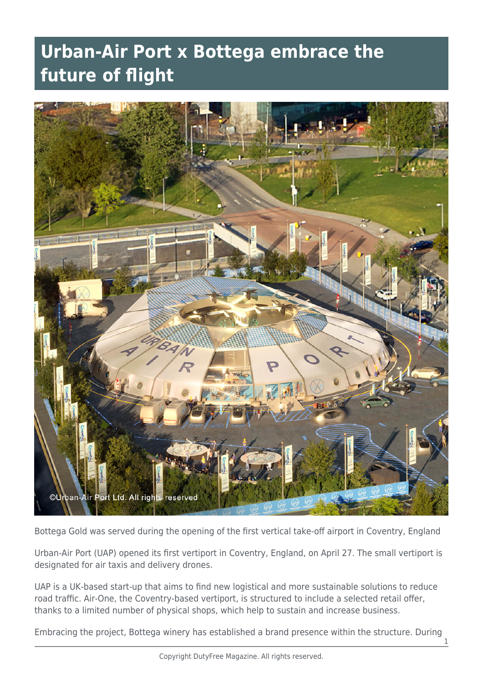## **Urban-Air Port x Bottega embrace the future of flight**



Bottega Gold was served during the opening of the first vertical take-off airport in Coventry, England

Urban-Air Port (UAP) opened its first vertiport in Coventry, England, on April 27. The small vertiport is designated for air taxis and delivery drones.

UAP is a UK-based start-up that aims to find new logistical and more sustainable solutions to reduce road traffic. Air-One, the Coventry-based vertiport, is structured to include a selected retail offer, thanks to a limited number of physical shops, which help to sustain and increase business.

Embracing the project, Bottega winery has established a brand presence within the structure. During